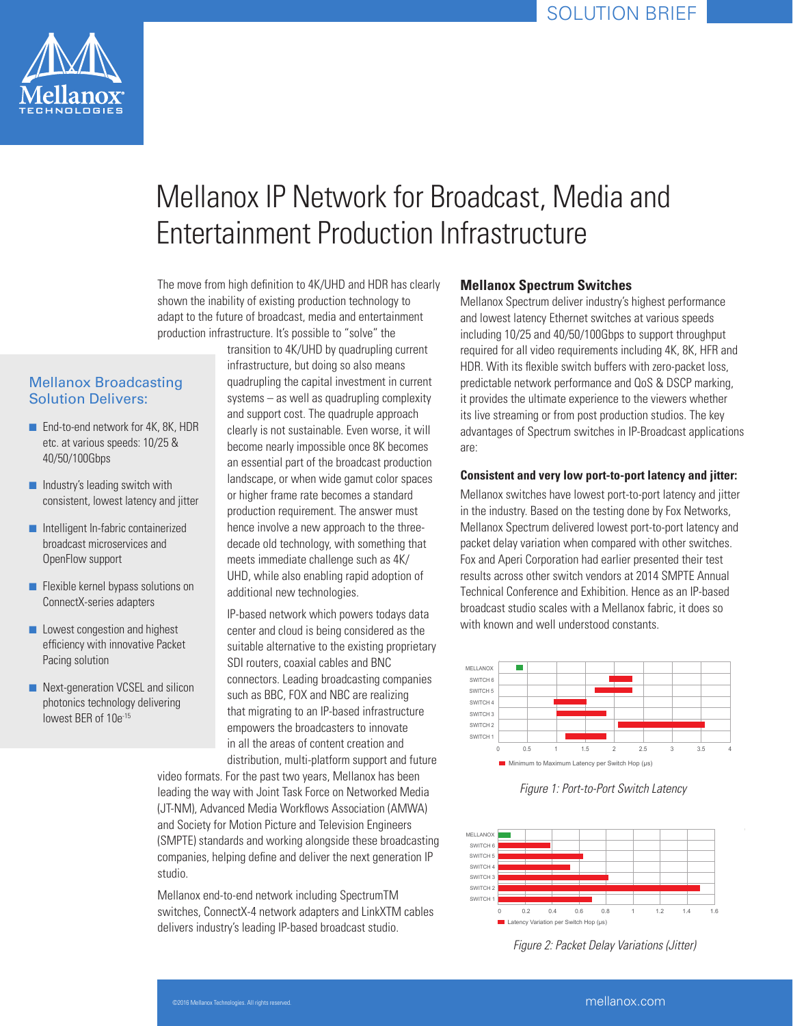

# Mellanox IP Network for Broadcast, Media and Entertainment Production Infrastructure

The move from high definition to 4K/UHD and HDR has clearly shown the inability of existing production technology to adapt to the future of broadcast, media and entertainment production infrastructure. It's possible to "solve" the

## Mellanox Broadcasting Solution Delivers:

- End-to-end network for 4K, 8K, HDR etc. at various speeds: 10/25 & 40/50/100Gbps
- Industry's leading switch with consistent, lowest latency and jitter
- Intelligent In-fabric containerized broadcast microservices and OpenFlow support
- Flexible kernel bypass solutions on ConnectX-series adapters
- Lowest congestion and highest efficiency with innovative Packet Pacing solution
- Next-generation VCSEL and silicon photonics technology delivering lowest BER of 10e<sup>-15</sup>

transition to 4K/UHD by quadrupling current infrastructure, but doing so also means quadrupling the capital investment in current systems – as well as quadrupling complexity and support cost. The quadruple approach clearly is not sustainable. Even worse, it will become nearly impossible once 8K becomes an essential part of the broadcast production landscape, or when wide gamut color spaces or higher frame rate becomes a standard production requirement. The answer must hence involve a new approach to the threedecade old technology, with something that meets immediate challenge such as 4K/ UHD, while also enabling rapid adoption of additional new technologies.

IP-based network which powers todays data center and cloud is being considered as the suitable alternative to the existing proprietary SDI routers, coaxial cables and BNC connectors. Leading broadcasting companies such as BBC, FOX and NBC are realizing that migrating to an IP-based infrastructure empowers the broadcasters to innovate in all the areas of content creation and distribution, multi-platform support and future

video formats. For the past two years, Mellanox has been leading the way with Joint Task Force on Networked Media (JT-NM), Advanced Media Workflows Association (AMWA) and Society for Motion Picture and Television Engineers (SMPTE) standards and working alongside these broadcasting companies, helping define and deliver the next generation IP studio.

Mellanox end-to-end network including SpectrumTM switches, ConnectX-4 network adapters and LinkXTM cables delivers industry's leading IP-based broadcast studio.

## **Mellanox Spectrum Switches**

Mellanox Spectrum deliver industry's highest performance and lowest latency Ethernet switches at various speeds including 10/25 and 40/50/100Gbps to support throughput required for all video requirements including 4K, 8K, HFR and HDR. With its flexible switch buffers with zero-packet loss, predictable network performance and QoS & DSCP marking, it provides the ultimate experience to the viewers whether its live streaming or from post production studios. The key advantages of Spectrum switches in IP-Broadcast applications are:

#### **Consistent and very low port-to-port latency and jitter:**

Mellanox switches have lowest port-to-port latency and jitter in the industry. Based on the testing done by Fox Networks, Mellanox Spectrum delivered lowest port-to-port latency and packet delay variation when compared with other switches. Fox and Aperi Corporation had earlier presented their test results across other switch vendors at 2014 SMPTE Annual Technical Conference and Exhibition. Hence as an IP-based broadcast studio scales with a Mellanox fabric, it does so with known and well understood constants.



*Figure 1: Port-to-Port Switch Latency*



 *Figure 2: Packet Delay Variations (Jitter)*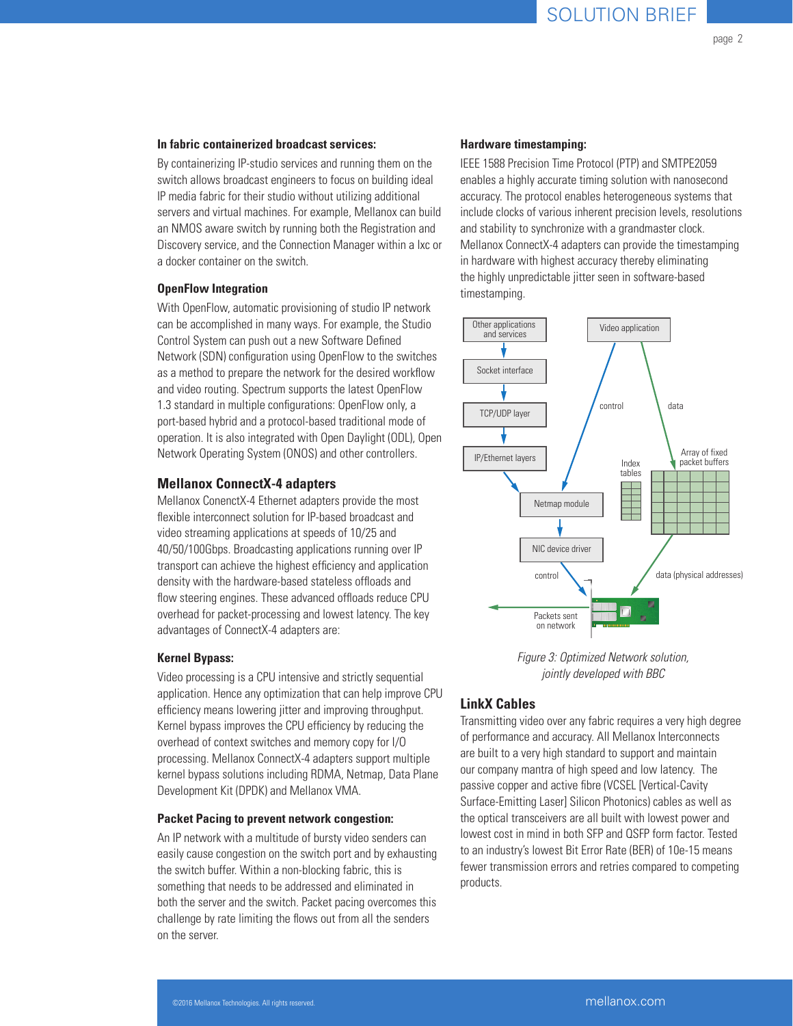page 2

#### **In fabric containerized broadcast services:**

By containerizing IP-studio services and running them on the switch allows broadcast engineers to focus on building ideal IP media fabric for their studio without utilizing additional servers and virtual machines. For example, Mellanox can build an NMOS aware switch by running both the Registration and Discovery service, and the Connection Manager within a lxc or a docker container on the switch.

#### **OpenFlow Integration**

With OpenFlow, automatic provisioning of studio IP network can be accomplished in many ways. For example, the Studio Control System can push out a new Software Defined Network (SDN) configuration using OpenFlow to the switches as a method to prepare the network for the desired workflow and video routing. Spectrum supports the latest OpenFlow 1.3 standard in multiple configurations: OpenFlow only, a port-based hybrid and a protocol-based traditional mode of operation. It is also integrated with Open Daylight (ODL), Open Network Operating System (ONOS) and other controllers.

### **Mellanox ConnectX-4 adapters**

Mellanox ConenctX-4 Ethernet adapters provide the most flexible interconnect solution for IP-based broadcast and video streaming applications at speeds of 10/25 and 40/50/100Gbps. Broadcasting applications running over IP transport can achieve the highest efficiency and application density with the hardware-based stateless offloads and flow steering engines. These advanced offloads reduce CPU overhead for packet-processing and lowest latency. The key advantages of ConnectX-4 adapters are:

#### **Kernel Bypass:**

Video processing is a CPU intensive and strictly sequential application. Hence any optimization that can help improve CPU efficiency means lowering jitter and improving throughput. Kernel bypass improves the CPU efficiency by reducing the overhead of context switches and memory copy for I/O processing. Mellanox ConnectX-4 adapters support multiple kernel bypass solutions including RDMA, Netmap, Data Plane Development Kit (DPDK) and Mellanox VMA.

#### **Packet Pacing to prevent network congestion:**

An IP network with a multitude of bursty video senders can easily cause congestion on the switch port and by exhausting the switch buffer. Within a non-blocking fabric, this is something that needs to be addressed and eliminated in both the server and the switch. Packet pacing overcomes this challenge by rate limiting the flows out from all the senders on the server.

#### **Hardware timestamping:**

IEEE 1588 Precision Time Protocol (PTP) and SMTPE2059 enables a highly accurate timing solution with nanosecond accuracy. The protocol enables heterogeneous systems that include clocks of various inherent precision levels, resolutions and stability to synchronize with a grandmaster clock. Mellanox ConnectX-4 adapters can provide the timestamping in hardware with highest accuracy thereby eliminating the highly unpredictable jitter seen in software-based timestamping.



*Figure 3: Optimized Network solution, jointly developed with BBC*

## **LinkX Cables**

Transmitting video over any fabric requires a very high degree of performance and accuracy. All Mellanox Interconnects are built to a very high standard to support and maintain our company mantra of high speed and low latency. The passive copper and active fibre (VCSEL [Vertical-Cavity Surface-Emitting Laser] Silicon Photonics) cables as well as the optical transceivers are all built with lowest power and lowest cost in mind in both SFP and QSFP form factor. Tested to an industry's lowest Bit Error Rate (BER) of 10e-15 means fewer transmission errors and retries compared to competing products.